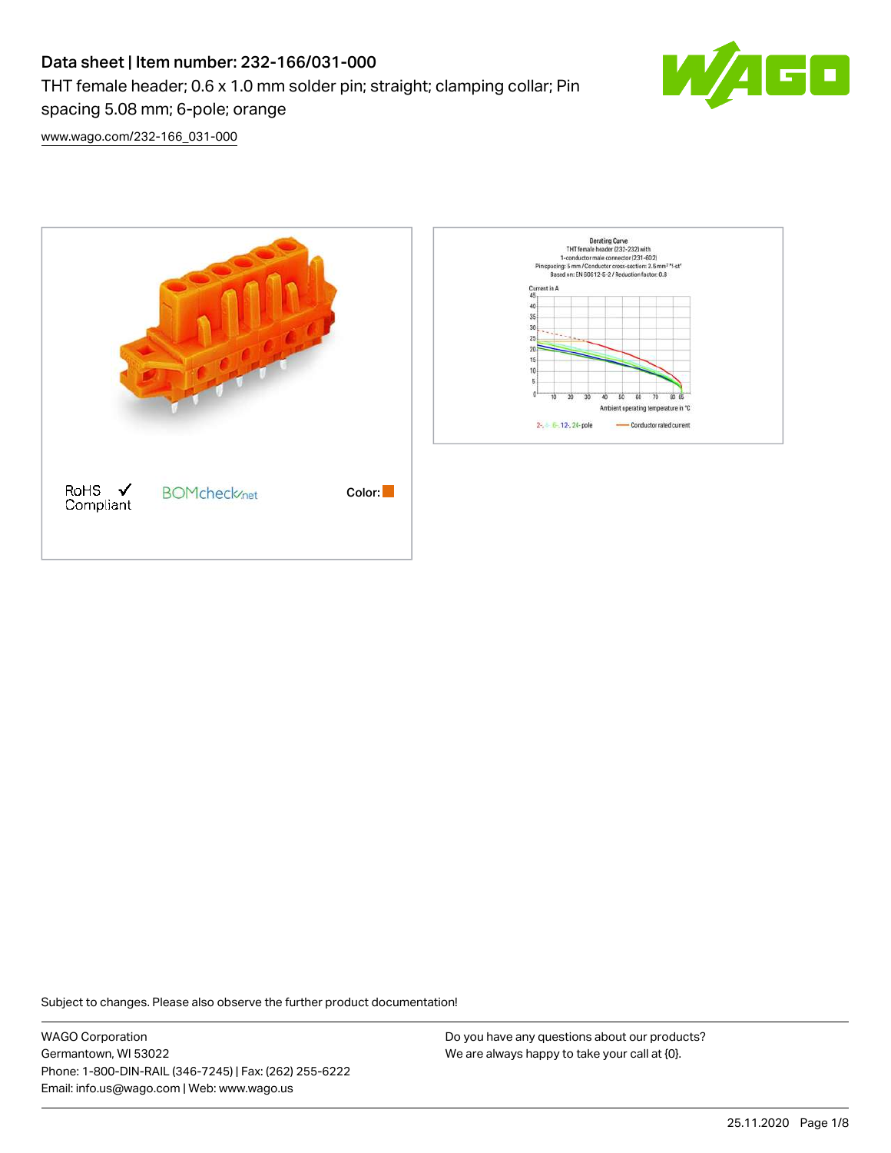# Data sheet | Item number: 232-166/031-000 THT female header; 0.6 x 1.0 mm solder pin; straight; clamping collar; Pin spacing 5.08 mm; 6-pole; orange



[www.wago.com/232-166\\_031-000](http://www.wago.com/232-166_031-000)



Subject to changes. Please also observe the further product documentation!

WAGO Corporation Germantown, WI 53022 Phone: 1-800-DIN-RAIL (346-7245) | Fax: (262) 255-6222 Email: info.us@wago.com | Web: www.wago.us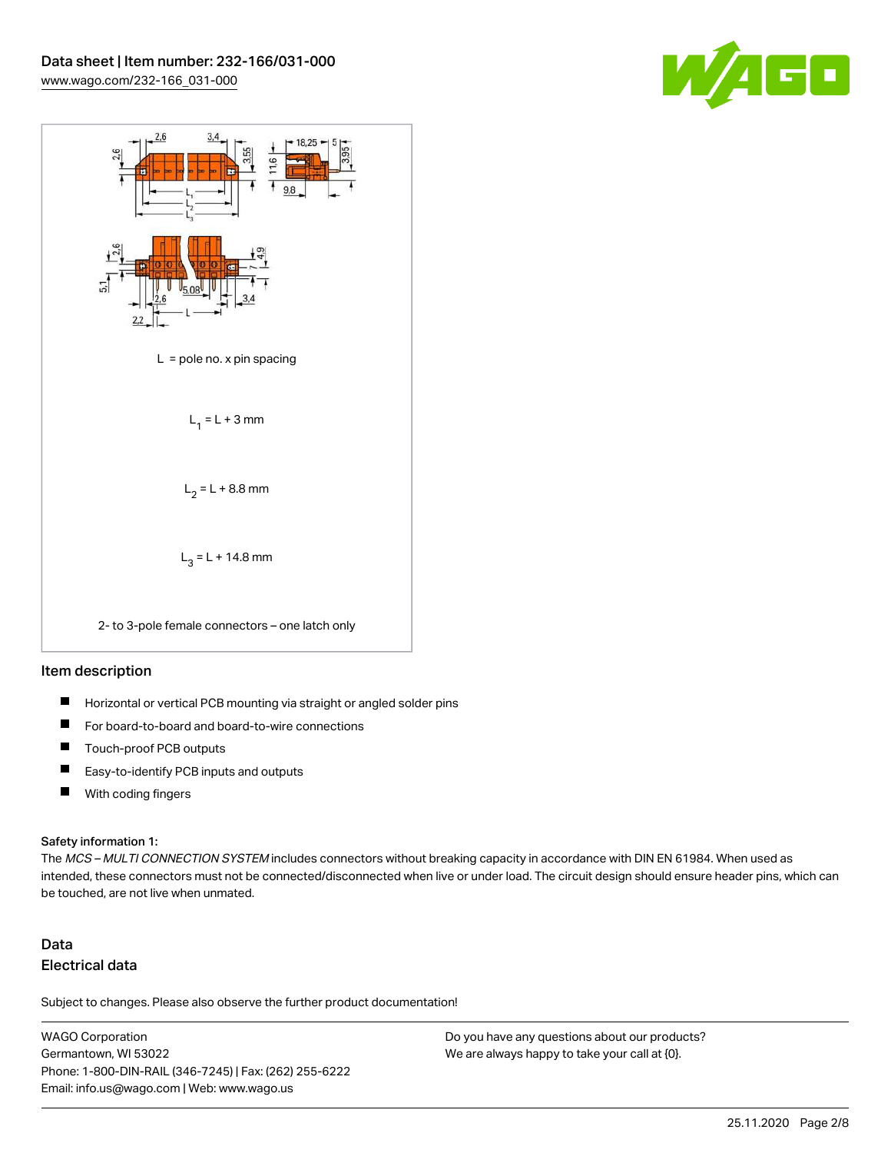



#### Item description

- $\blacksquare$ Horizontal or vertical PCB mounting via straight or angled solder pins
- П For board-to-board and board-to-wire connections
- $\blacksquare$ Touch-proof PCB outputs
- $\blacksquare$ Easy-to-identify PCB inputs and outputs
- $\blacksquare$ With coding fingers

#### Safety information 1:

The MCS - MULTI CONNECTION SYSTEM includes connectors without breaking capacity in accordance with DIN EN 61984. When used as intended, these connectors must not be connected/disconnected when live or under load. The circuit design should ensure header pins, which can be touched, are not live when unmated.

## Data Electrical data

Subject to changes. Please also observe the further product documentation!

WAGO Corporation Germantown, WI 53022 Phone: 1-800-DIN-RAIL (346-7245) | Fax: (262) 255-6222 Email: info.us@wago.com | Web: www.wago.us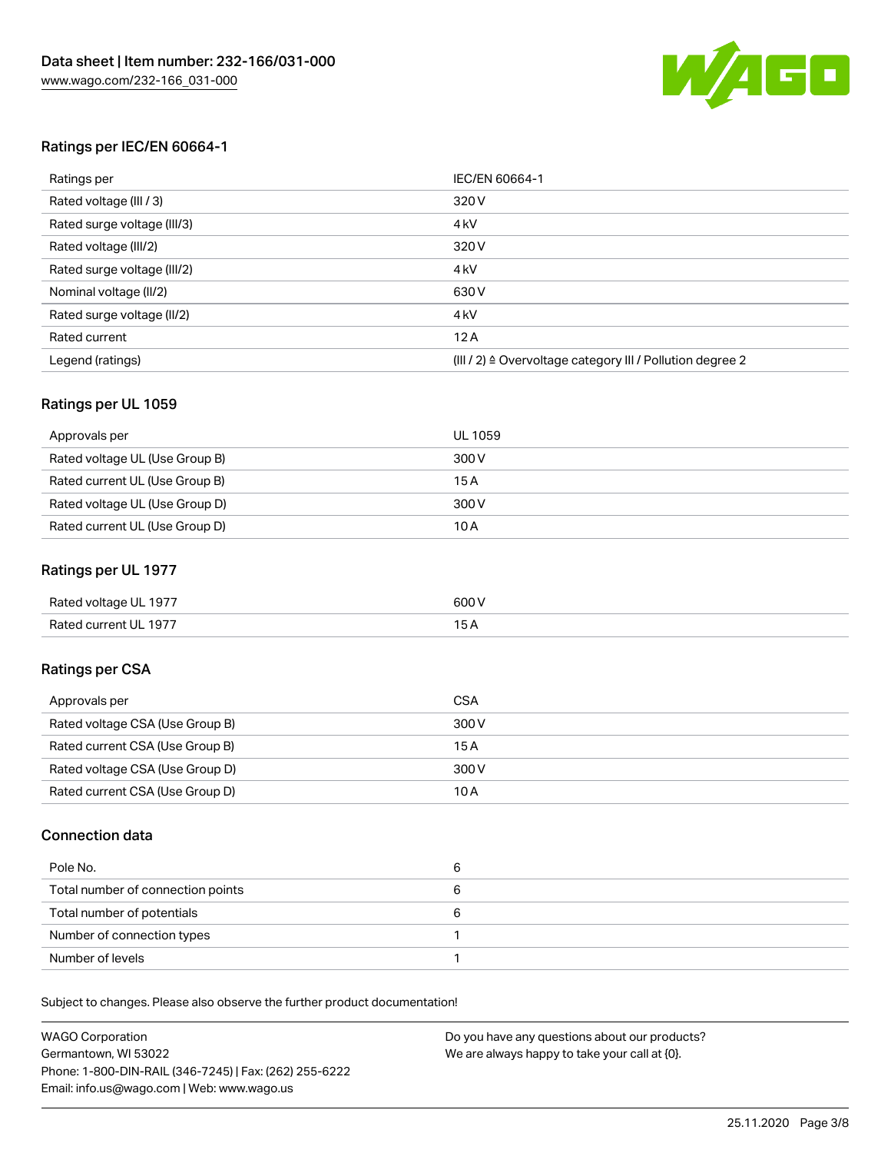

#### Ratings per IEC/EN 60664-1

| Ratings per                 | IEC/EN 60664-1                                                        |
|-----------------------------|-----------------------------------------------------------------------|
| Rated voltage (III / 3)     | 320 V                                                                 |
| Rated surge voltage (III/3) | 4 <sub>k</sub> V                                                      |
| Rated voltage (III/2)       | 320 V                                                                 |
| Rated surge voltage (III/2) | 4 <sub>k</sub> V                                                      |
| Nominal voltage (II/2)      | 630 V                                                                 |
| Rated surge voltage (II/2)  | 4 <sub>k</sub> V                                                      |
| Rated current               | 12A                                                                   |
| Legend (ratings)            | $(III / 2)$ $\triangle$ Overvoltage category III / Pollution degree 2 |

#### Ratings per UL 1059

| Approvals per                  | UL 1059 |
|--------------------------------|---------|
| Rated voltage UL (Use Group B) | 300 V   |
| Rated current UL (Use Group B) | 15 A    |
| Rated voltage UL (Use Group D) | 300 V   |
| Rated current UL (Use Group D) | 10A     |

#### Ratings per UL 1977

| Rated voltage UL 1977 | 600 <sup>V</sup><br>. |
|-----------------------|-----------------------|
| Rated current UL 1977 |                       |

### Ratings per CSA

| Approvals per                   | CSA   |
|---------------------------------|-------|
| Rated voltage CSA (Use Group B) | 300 V |
| Rated current CSA (Use Group B) | 15 A  |
| Rated voltage CSA (Use Group D) | 300 V |
| Rated current CSA (Use Group D) | 10 A  |

#### Connection data

| Pole No.                          |  |
|-----------------------------------|--|
| Total number of connection points |  |
| Total number of potentials        |  |
| Number of connection types        |  |
| Number of levels                  |  |

Subject to changes. Please also observe the further product documentation!

| <b>WAGO Corporation</b>                                | Do you have any questions about our products? |
|--------------------------------------------------------|-----------------------------------------------|
| Germantown, WI 53022                                   | We are always happy to take your call at {0}. |
| Phone: 1-800-DIN-RAIL (346-7245)   Fax: (262) 255-6222 |                                               |
| Email: info.us@wago.com   Web: www.wago.us             |                                               |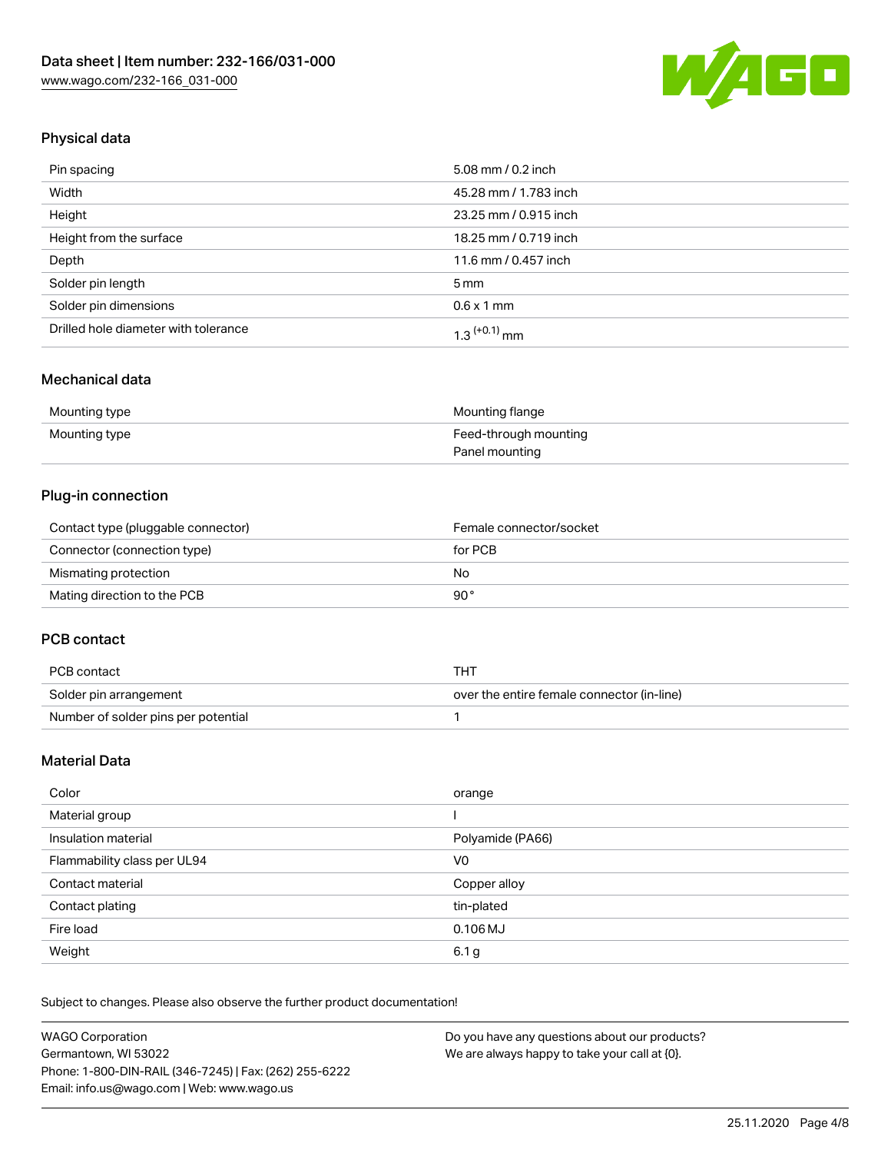

## Physical data

| Pin spacing                          | 5.08 mm / 0.2 inch    |
|--------------------------------------|-----------------------|
| Width                                | 45.28 mm / 1.783 inch |
| Height                               | 23.25 mm / 0.915 inch |
| Height from the surface              | 18.25 mm / 0.719 inch |
| Depth                                | 11.6 mm / 0.457 inch  |
| Solder pin length                    | $5 \,\mathrm{mm}$     |
| Solder pin dimensions                | $0.6 \times 1$ mm     |
| Drilled hole diameter with tolerance | $1.3$ $(+0.1)$ mm     |

### Mechanical data

| Mounting type | Mounting flange       |
|---------------|-----------------------|
| Mounting type | Feed-through mounting |
|               | Panel mounting        |

## Plug-in connection

| Contact type (pluggable connector) | Female connector/socket |
|------------------------------------|-------------------------|
| Connector (connection type)        | for PCB                 |
| Mismating protection               | No                      |
| Mating direction to the PCB        | 90°                     |

#### PCB contact

| PCB contact                         | THT                                        |
|-------------------------------------|--------------------------------------------|
| Solder pin arrangement              | over the entire female connector (in-line) |
| Number of solder pins per potential |                                            |

## Material Data

| Color                       | orange           |
|-----------------------------|------------------|
| Material group              |                  |
| Insulation material         | Polyamide (PA66) |
| Flammability class per UL94 | V0               |
| Contact material            | Copper alloy     |
| Contact plating             | tin-plated       |
| Fire load                   | $0.106$ MJ       |
| Weight                      | 6.1 <sub>g</sub> |

Subject to changes. Please also observe the further product documentation!

| <b>WAGO Corporation</b>                                | Do you have any questions about our products? |
|--------------------------------------------------------|-----------------------------------------------|
| Germantown, WI 53022                                   | We are always happy to take your call at {0}. |
| Phone: 1-800-DIN-RAIL (346-7245)   Fax: (262) 255-6222 |                                               |
| Email: info.us@wago.com   Web: www.wago.us             |                                               |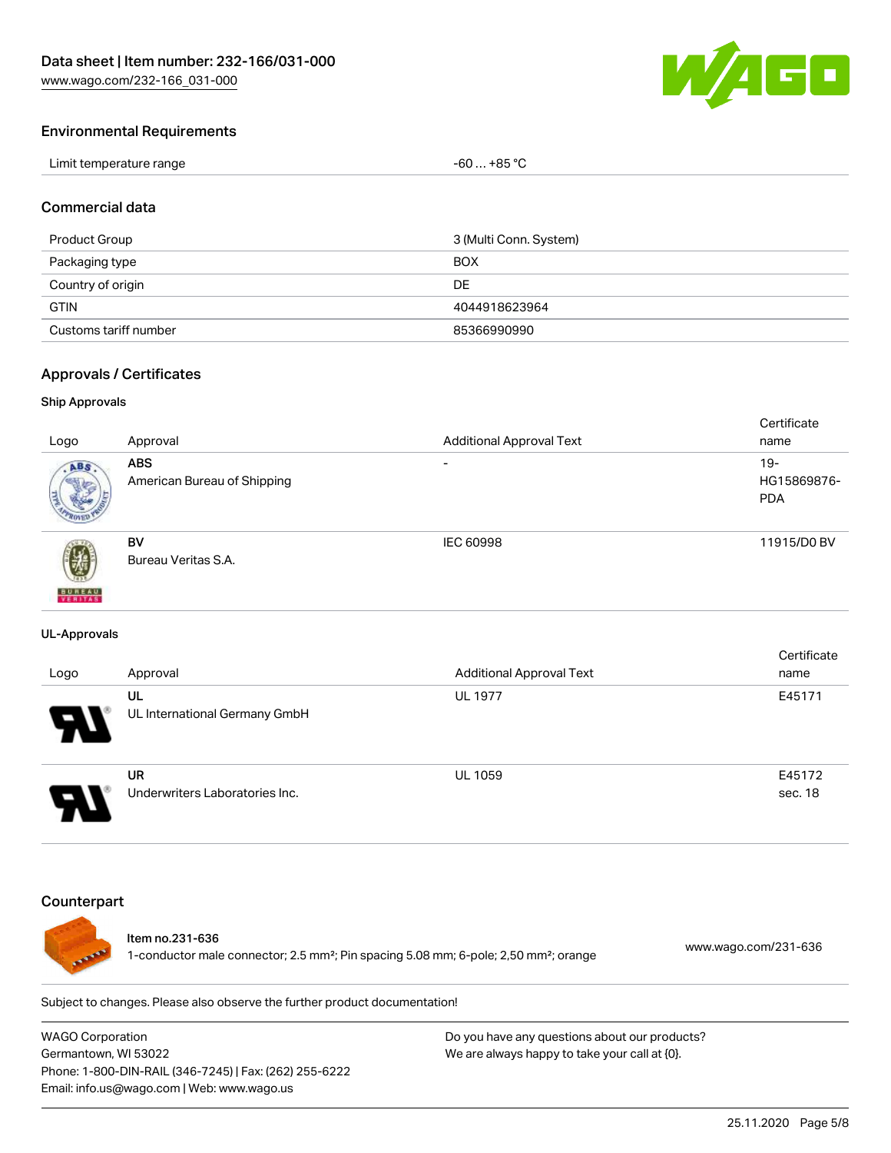

#### Environmental Requirements

| Limit temperature range | $-60+85 °C$ |
|-------------------------|-------------|
|-------------------------|-------------|

#### Commercial data

| Product Group         | 3 (Multi Conn. System) |
|-----------------------|------------------------|
| Packaging type        | <b>BOX</b>             |
| Country of origin     | DE                     |
| <b>GTIN</b>           | 4044918623964          |
| Customs tariff number | 85366990990            |

#### Approvals / Certificates

#### Ship Approvals

|                           |                             |                                 | Certificate |
|---------------------------|-----------------------------|---------------------------------|-------------|
| Logo                      | Approval                    | <b>Additional Approval Text</b> | name        |
| ABS.                      | <b>ABS</b>                  | $\overline{\phantom{0}}$        | $19-$       |
|                           | American Bureau of Shipping |                                 | HG15869876- |
|                           |                             |                                 | <b>PDA</b>  |
|                           |                             |                                 |             |
|                           | <b>BV</b>                   | IEC 60998                       | 11915/D0 BV |
| 蓼                         | Bureau Veritas S.A.         |                                 |             |
|                           |                             |                                 |             |
| <b>BUREAU</b><br>VERITAST |                             |                                 |             |

#### UL-Approvals

| Logo                  | Approval                             | <b>Additional Approval Text</b> | Certificate<br>name |
|-----------------------|--------------------------------------|---------------------------------|---------------------|
| $\boldsymbol{\theta}$ | UL<br>UL International Germany GmbH  | <b>UL 1977</b>                  | E45171              |
| □                     | UR<br>Underwriters Laboratories Inc. | <b>UL 1059</b>                  | E45172<br>sec. 18   |

#### **Counterpart**



#### Item no.231-636

1-conductor male connector; 2.5 mm²; Pin spacing 5.08 mm; 6-pole; 2,50 mm²; orange [www.wago.com/231-636](https://www.wago.com/231-636)

Subject to changes. Please also observe the further product documentation!

WAGO Corporation Germantown, WI 53022 Phone: 1-800-DIN-RAIL (346-7245) | Fax: (262) 255-6222 Email: info.us@wago.com | Web: www.wago.us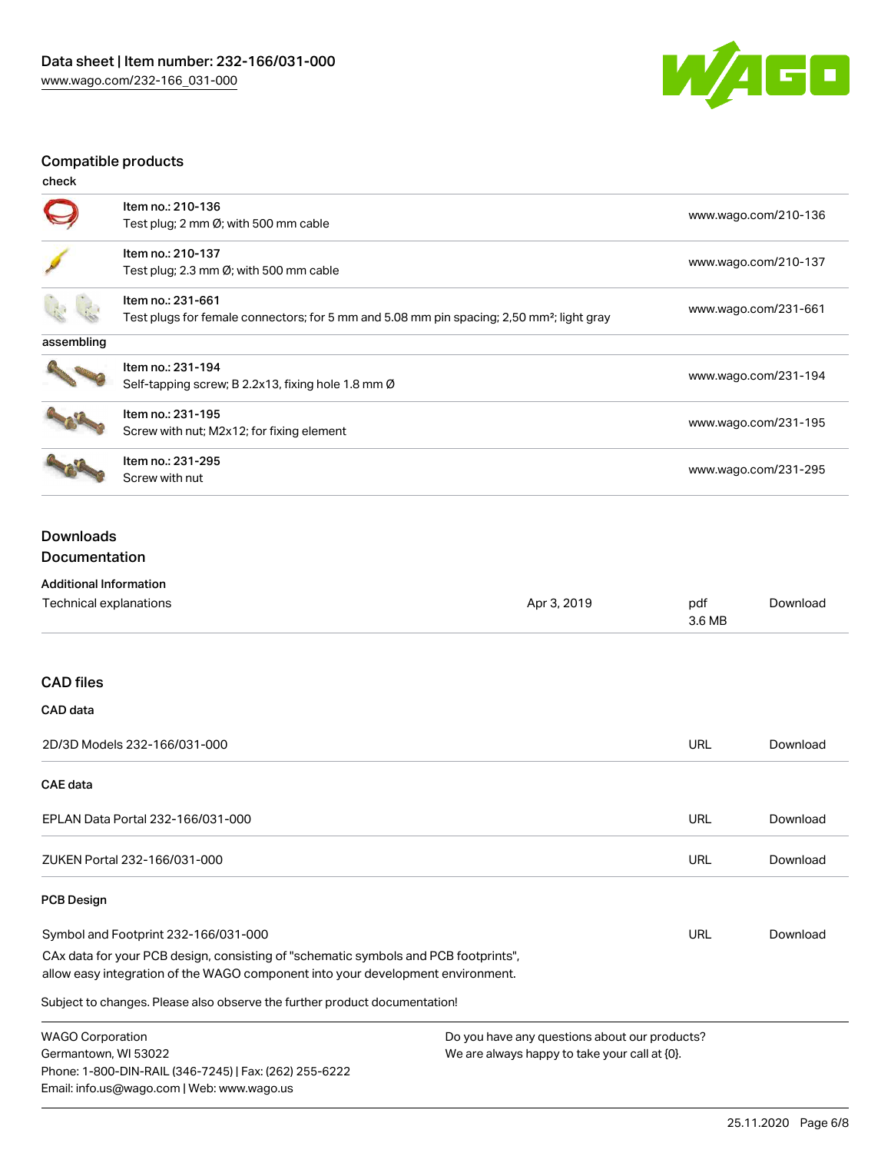

## Compatible products

| check      |                                                                                                                            |                      |
|------------|----------------------------------------------------------------------------------------------------------------------------|----------------------|
|            | Item no.: 210-136<br>Test plug; 2 mm Ø; with 500 mm cable                                                                  | www.wago.com/210-136 |
|            | Item no.: 210-137<br>Test plug; 2.3 mm $\emptyset$ ; with 500 mm cable                                                     | www.wago.com/210-137 |
|            | Item no.: 231-661<br>Test plugs for female connectors; for 5 mm and 5.08 mm pin spacing; 2,50 mm <sup>2</sup> ; light gray | www.wago.com/231-661 |
| assembling |                                                                                                                            |                      |
|            | Item no.: 231-194<br>Self-tapping screw; B 2.2x13, fixing hole 1.8 mm Ø                                                    | www.wago.com/231-194 |
|            | Item no.: 231-195<br>Screw with nut; M2x12; for fixing element                                                             | www.wago.com/231-195 |
|            | Item no.: 231-295<br>Screw with nut                                                                                        | www.wago.com/231-295 |

## Downloads Documentation

## Additional Information

Phone: 1-800-DIN-RAIL (346-7245) | Fax: (262) 255-6222

Email: info.us@wago.com | Web: www.wago.us

| Technical explanations                                                                                                                                                 | Apr 3, 2019                                      | pdf<br>3.6 MB | Download |
|------------------------------------------------------------------------------------------------------------------------------------------------------------------------|--------------------------------------------------|---------------|----------|
| <b>CAD files</b>                                                                                                                                                       |                                                  |               |          |
| CAD data                                                                                                                                                               |                                                  |               |          |
| 2D/3D Models 232-166/031-000                                                                                                                                           |                                                  | <b>URL</b>    | Download |
| <b>CAE</b> data                                                                                                                                                        |                                                  |               |          |
| EPLAN Data Portal 232-166/031-000                                                                                                                                      |                                                  | <b>URL</b>    | Download |
| ZUKEN Portal 232-166/031-000                                                                                                                                           |                                                  | <b>URL</b>    | Download |
| <b>PCB Design</b>                                                                                                                                                      |                                                  |               |          |
| Symbol and Footprint 232-166/031-000                                                                                                                                   |                                                  | URL           | Download |
| CAx data for your PCB design, consisting of "schematic symbols and PCB footprints",<br>allow easy integration of the WAGO component into your development environment. |                                                  |               |          |
| Subject to changes. Please also observe the further product documentation!                                                                                             |                                                  |               |          |
| <b>WAGO Corporation</b>                                                                                                                                                | Do you have any questions about our products?    |               |          |
| Germantown, WI 53022                                                                                                                                                   | We are always happy to take your call at $[0]$ . |               |          |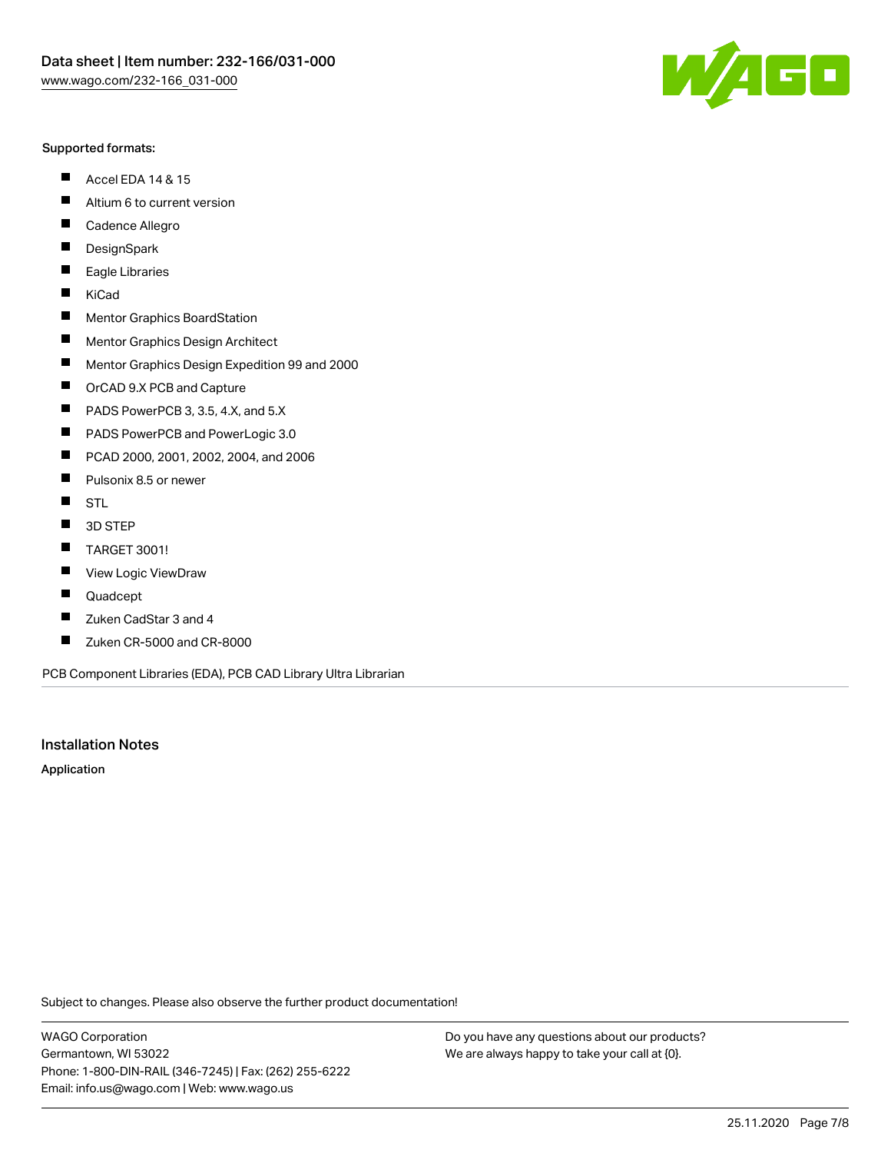#### Supported formats:

- $\blacksquare$ Accel EDA 14 & 15
- $\blacksquare$ Altium 6 to current version
- $\blacksquare$ Cadence Allegro
- $\blacksquare$ **DesignSpark**
- $\blacksquare$ Eagle Libraries
- $\blacksquare$ KiCad
- $\blacksquare$ Mentor Graphics BoardStation
- $\blacksquare$ Mentor Graphics Design Architect
- $\blacksquare$ Mentor Graphics Design Expedition 99 and 2000
- $\blacksquare$ OrCAD 9.X PCB and Capture
- $\blacksquare$ PADS PowerPCB 3, 3.5, 4.X, and 5.X
- $\blacksquare$ PADS PowerPCB and PowerLogic 3.0
- $\blacksquare$ PCAD 2000, 2001, 2002, 2004, and 2006
- $\blacksquare$ Pulsonix 8.5 or newer
- $\blacksquare$ STL
- 3D STEP П
- $\blacksquare$ TARGET 3001!
- $\blacksquare$ View Logic ViewDraw
- $\blacksquare$ Quadcept
- Zuken CadStar 3 and 4  $\blacksquare$
- Zuken CR-5000 and CR-8000 П

PCB Component Libraries (EDA), PCB CAD Library Ultra Librarian

#### Installation Notes

Application

Subject to changes. Please also observe the further product documentation!

WAGO Corporation Germantown, WI 53022 Phone: 1-800-DIN-RAIL (346-7245) | Fax: (262) 255-6222 Email: info.us@wago.com | Web: www.wago.us